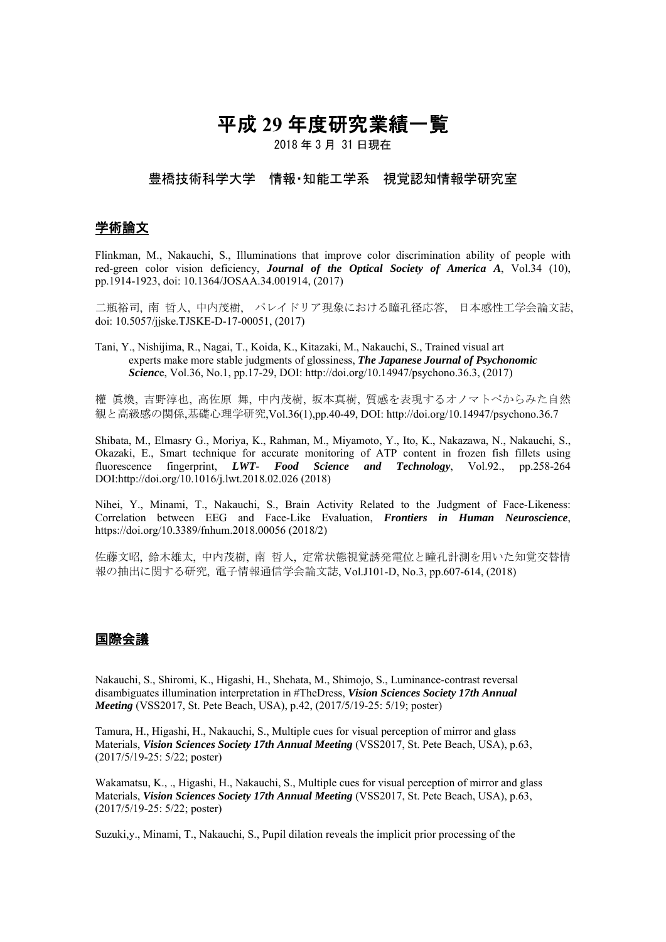# 平成 **29** 年度研究業績一覧

2018 年 3 月 31 日現在

#### 豊橋技術科学大学 情報・知能工学系 視覚認知情報学研究室

#### 学術論文

Flinkman, M., Nakauchi, S., Illuminations that improve color discrimination ability of people with red-green color vision deficiency, *Journal of the Optical Society of America A*, Vol.34 (10), pp.1914-1923, doi: 10.1364/JOSAA.34.001914, (2017)

二瓶裕司, 南 哲人, 中内茂樹, パレイドリア現象における瞳孔径応答, 日本感性工学会論文誌, doi: 10.5057/jjske.TJSKE-D-17-00051, (2017)

Tani, Y., Nishijima, R., Nagai, T., Koida, K., Kitazaki, M., Nakauchi, S., Trained visual art experts make more stable judgments of glossiness, *The Japanese Journal of Psychonomic Scienc*e, Vol.36, No.1, pp.17-29, DOI: http://doi.org/10.14947/psychono.36.3, (2017)

權 眞煥, 吉野淳也, 高佐原 舞, 中内茂樹, 坂本真樹, 質感を表現するオノマトペからみた自然 観と高級感の関係,基礎心理学研究,Vol.36(1),pp.40-49, DOI: http://doi.org/10.14947/psychono.36.7

Shibata, M., Elmasry G., Moriya, K., Rahman, M., Miyamoto, Y., Ito, K., Nakazawa, N., Nakauchi, S., Okazaki, E., Smart technique for accurate monitoring of ATP content in frozen fish fillets using fluorescence fingerprint, *LWT- Food Science and Technology*, Vol.92., pp.258-264 DOI:http://doi.org/10.1016/j.lwt.2018.02.026 (2018)

Nihei, Y., Minami, T., Nakauchi, S., Brain Activity Related to the Judgment of Face-Likeness: Correlation between EEG and Face-Like Evaluation, *Frontiers in Human Neuroscience*, https://doi.org/10.3389/fnhum.2018.00056 (2018/2)

佐藤文昭, 鈴木雄太, 中内茂樹, 南 哲人, 定常状態視覚誘発電位と瞳孔計測を用いた知覚交替情 報の抽出に関する研究, 電子情報通信学会論文誌, Vol.J101-D, No.3, pp.607-614, (2018)

#### 国際会議

Nakauchi, S., Shiromi, K., Higashi, H., Shehata, M., Shimojo, S., Luminance-contrast reversal disambiguates illumination interpretation in #TheDress, *Vision Sciences Society 17th Annual Meeting* (VSS2017, St. Pete Beach, USA), p.42, (2017/5/19-25: 5/19; poster)

Tamura, H., Higashi, H., Nakauchi, S., Multiple cues for visual perception of mirror and glass Materials, *Vision Sciences Society 17th Annual Meeting* (VSS2017, St. Pete Beach, USA), p.63, (2017/5/19-25: 5/22; poster)

Wakamatsu, K., ., Higashi, H., Nakauchi, S., Multiple cues for visual perception of mirror and glass Materials, *Vision Sciences Society 17th Annual Meeting* (VSS2017, St. Pete Beach, USA), p.63, (2017/5/19-25: 5/22; poster)

Suzuki,y., Minami, T., Nakauchi, S., Pupil dilation reveals the implicit prior processing of the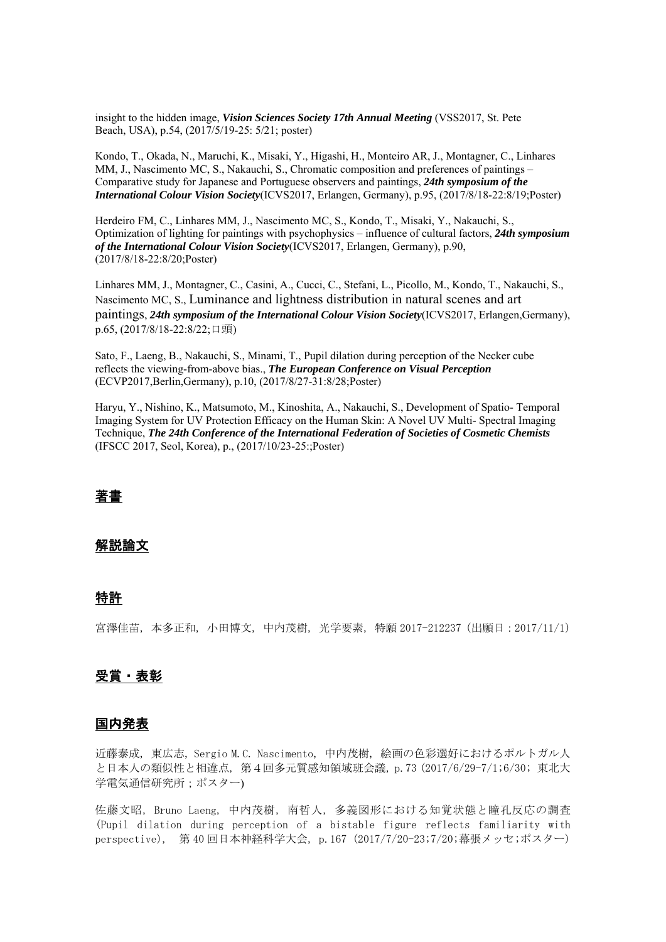insight to the hidden image, *Vision Sciences Society 17th Annual Meeting* (VSS2017, St. Pete Beach, USA), p.54, (2017/5/19-25: 5/21; poster)

Kondo, T., Okada, N., Maruchi, K., Misaki, Y., Higashi, H., Monteiro AR, J., Montagner, C., Linhares MM, J., Nascimento MC, S., Nakauchi, S., Chromatic composition and preferences of paintings – Comparative study for Japanese and Portuguese observers and paintings, *24th symposium of the International Colour Vision Society*(ICVS2017, Erlangen, Germany), p.95, (2017/8/18-22:8/19;Poster)

Herdeiro FM, C., Linhares MM, J., Nascimento MC, S., Kondo, T., Misaki, Y., Nakauchi, S., Optimization of lighting for paintings with psychophysics – influence of cultural factors, *24th symposium of the International Colour Vision Society*(ICVS2017, Erlangen, Germany), p.90, (2017/8/18-22:8/20;Poster)

Linhares MM, J., Montagner, C., Casini, A., Cucci, C., Stefani, L., Picollo, M., Kondo, T., Nakauchi, S., Nascimento MC, S., Luminance and lightness distribution in natural scenes and art paintings, *24th symposium of the International Colour Vision Society*(ICVS2017, Erlangen,Germany), p.65, (2017/8/18-22:8/22;口頭)

Sato, F., Laeng, B., Nakauchi, S., Minami, T., Pupil dilation during perception of the Necker cube reflects the viewing-from-above bias., *The European Conference on Visual Perception* (ECVP2017,Berlin,Germany), p.10, (2017/8/27-31:8/28;Poster)

Haryu, Y., Nishino, K., Matsumoto, M., Kinoshita, A., Nakauchi, S., Development of Spatio- Temporal Imaging System for UV Protection Efficacy on the Human Skin: A Novel UV Multi- Spectral Imaging Technique, *The 24th Conference of the International Federation of Societies of Cosmetic Chemists*  (IFSCC 2017, Seol, Korea), p., (2017/10/23-25:;Poster)

## 著書

#### 解説論文

#### 特許

宮澤佳苗, 本多正和, 小田博文, 中内茂樹, 光学要素, 特願 2017-212237(出願日:2017/11/1)

#### 受賞・表彰

#### 国内発表

近藤泰成, 東広志, Sergio M.C. Nascimento, 中内茂樹, 絵画の色彩選好におけるポルトガル人 と日本人の類似性と相違点, 第4回多元質感知領域班会議, p.73 (2017/6/29-7/1;6/30; 東北大 学電気通信研究所;ポスター)

佐藤文昭, Bruno Laeng, 中内茂樹, 南哲人, 多義図形における知覚状態と瞳孔反応の調査 (Pupil dilation during perception of a bistable figure reflects familiarity with perspective), 第 40 回日本神経科学大会, p.167 (2017/7/20-23;7/20;幕張メッセ;ポスター)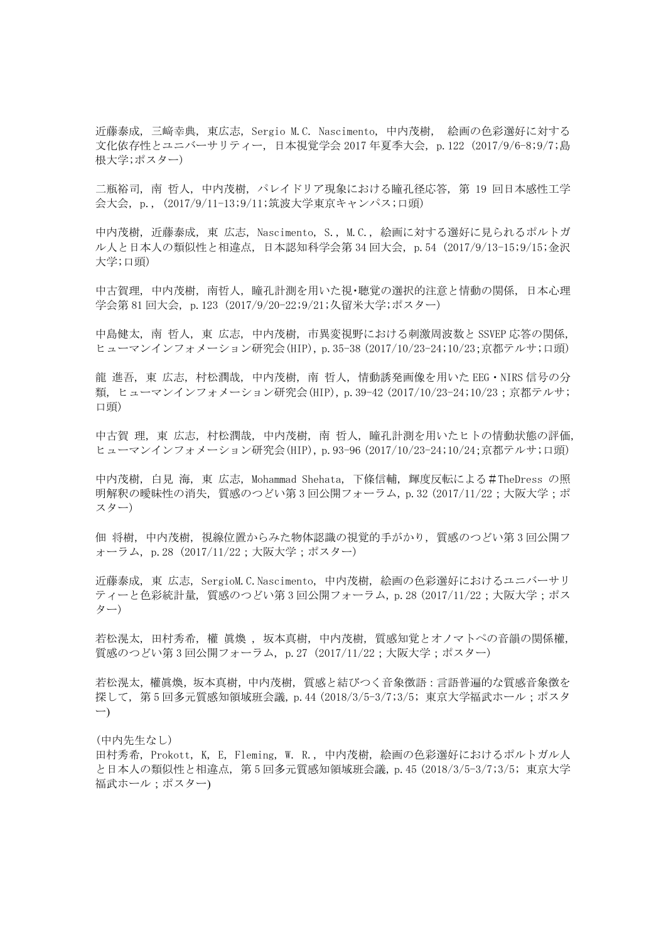近藤泰成, 三﨑幸典, 東広志, Sergio M.C. Nascimento, 中内茂樹, 絵画の色彩選好に対する 文化依存性とユニバーサリティー, 日本視覚学会 2017 年夏季大会, p.122 (2017/9/6-8;9/7;島 根大学;ポスター)

二瓶裕司, 南 哲人, 中内茂樹, パレイドリア現象における瞳孔径応答, 第 19 回日本感性工学 会大会, p., (2017/9/11-13;9/11;筑波大学東京キャンパス;口頭)

中内茂樹, 近藤泰成, 東 広志, Nascimento, S., M.C., 絵画に対する選好に見られるポルトガ ル人と日本人の類似性と相違点, 日本認知科学会第 34 回大会, p.54 (2017/9/13-15;9/15;金沢 大学;口頭)

中古賀理, 中内茂樹, 南哲人, 瞳孔計測を用いた視・聴覚の選択的注意と情動の関係, 日本心理 学会第 81 回大会, p.123 (2017/9/20-22;9/21;久留米大学;ポスター)

中島健太, 南 哲人, 東 広志, 中内茂樹, 市異変視野における刺激周波数と SSVEP 応答の関係, ヒューマンインフォメーション研究会(HIP), p.35-38 (2017/10/23-24;10/23;京都テルサ;口頭)

龍 進吾, 東 広志, 村松潤哉, 中内茂樹, 南 哲人, 情動誘発画像を用いた EEG・NIRS 信号の分 類, ヒューマンインフォメーション研究会(HIP), p.39-42 (2017/10/23-24;10/23;京都テルサ; 口頭)

中古賀 理, 東 広志, 村松潤哉, 中内茂樹, 南 哲人, 瞳孔計測を用いたヒトの情動状態の評価, ヒューマンインフォメーション研究会(HIP), p.93-96 (2017/10/23-24;10/24;京都テルサ;口頭)

中内茂樹, 白見 海, 東 広志, Mohammad Shehata, 下條信輔, 輝度反転による#TheDress の照 明解釈の曖昧性の消失,質感のつどい第3回公開フォーラム, p.32 (2017/11/22;大阪大学;ポ スター)

佃 将樹, 中内茂樹, 視線位置からみた物体認識の視覚的手がかり, 質感のつどい第 3 回公開フ ォーラム, p.28 (2017/11/22;大阪大学;ポスター)

近藤泰成, 東 広志, SergioM.C.Nascimento, 中内茂樹, 絵画の色彩選好におけるユニバーサリ ティーと色彩統計量,質感のつどい第3回公開フォーラム, p. 28 (2017/11/22;大阪大学;ポス ター)

若松滉太, 田村秀希, 權 眞煥 , 坂本真樹, 中内茂樹, 質感知覚とオノマトペの音韻の関係權, 質感のつどい第 3 回公開フォーラム, p.27 (2017/11/22;大阪大学;ポスター)

若松滉太,權眞煥,坂本真樹,中内茂樹, 質感と結びつく音象徴語:言語普遍的な質感音象徴を 探して, 第 5 回多元質感知領域班会議, p.44 (2018/3/5-3/7;3/5; 東京大学福武ホール;ポスタ ー)

(中内先生なし) 田村秀希, Prokott, K, E, Fleming, W. R., 中内茂樹, 絵画の色彩選好におけるポルトガル人 と日本人の類似性と相違点, 第 5 回多元質感知領域班会議, p.45 (2018/3/5-3/7;3/5; 東京大学 福武ホール:ポスター)